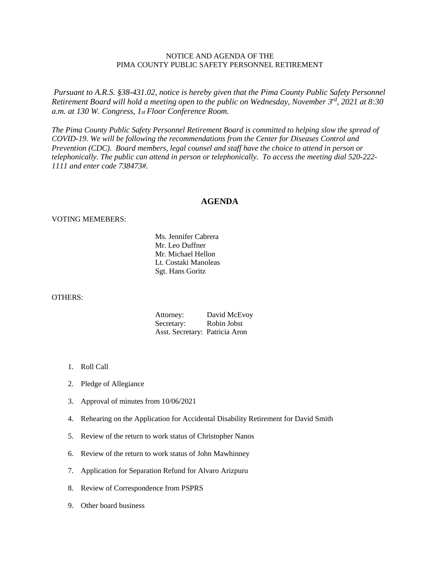# NOTICE AND AGENDA OF THE PIMA COUNTY PUBLIC SAFETY PERSONNEL RETIREMENT

*Pursuant to A.R.S. §38-431.02, notice is hereby given that the Pima County Public Safety Personnel Retirement Board will hold a meeting open to the public on Wednesday, November 3rd, 2021 at 8:30 a.m. at 130 W. Congress, 1st Floor Conference Room.*

*The Pima County Public Safety Personnel Retirement Board is committed to helping slow the spread of COVID-19. We will be following the recommendations from the Center for Diseases Control and Prevention (CDC). Board members, legal counsel and staff have the choice to attend in person or telephonically. The public can attend in person or telephonically. To access the meeting dial 520-222- 1111 and enter code 738473#.*

## **AGENDA**

#### VOTING MEMEBERS:

Ms. Jennifer Cabrera Mr. Leo Duffner Mr. Michael Hellon Lt. Costaki Manoleas Sgt. Hans Goritz

# OTHERS:

| Attorney:                      | David McEvoy |
|--------------------------------|--------------|
| Secretary:                     | Robin Jobst  |
| Asst. Secretary: Patricia Aron |              |

- 1. Roll Call
- 2. Pledge of Allegiance
- 3. Approval of minutes from 10/06/2021
- 4. Rehearing on the Application for Accidental Disability Retirement for David Smith
- 5. Review of the return to work status of Christopher Nanos
- 6. Review of the return to work status of John Mawhinney
- 7. Application for Separation Refund for Alvaro Arizpuru
- 8. Review of Correspondence from PSPRS
- 9. Other board business